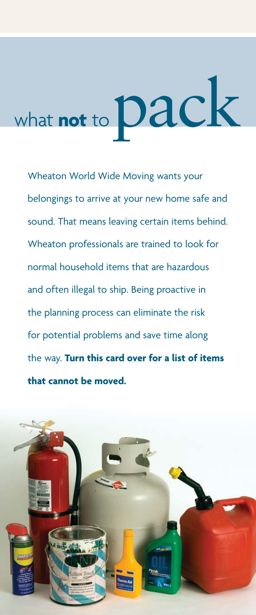## what **not** to **Dack**

Wheaton World Wide Moving wants your belongings to arrive at your new home safe and sound. That means leaving certain items behind. Wheaton professionals are trained to look for normal household items that are hazardous and often illegal to ship. Being proactive in the planning process can eliminate the risk for potential problems and save time along the way. **Turn this card over for a list of items that cannot be moved.**